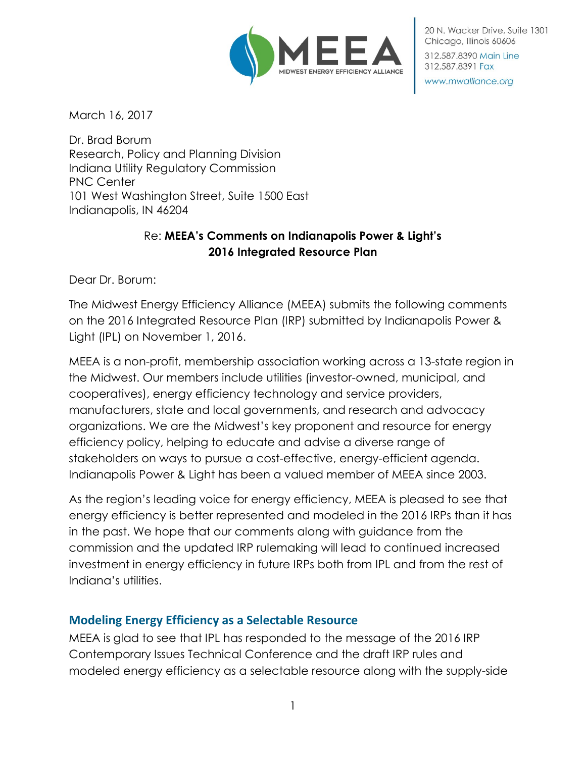

20 N. Wacker Drive, Suite 1301 Chicago, Illinois 60606 312.587.8390 Main Line

www.mwalliance.org

312.587.8391 Fax

March 16, 2017

Dr. Brad Borum Research, Policy and Planning Division Indiana Utility Regulatory Commission PNC Center 101 West Washington Street, Suite 1500 East Indianapolis, IN 46204

## Re: **MEEA's Comments on Indianapolis Power & Light's 2016 Integrated Resource Plan**

Dear Dr. Borum:

The Midwest Energy Efficiency Alliance (MEEA) submits the following comments on the 2016 Integrated Resource Plan (IRP) submitted by Indianapolis Power & Light (IPL) on November 1, 2016.

MEEA is a non-profit, membership association working across a 13-state region in the Midwest. Our members include utilities (investor-owned, municipal, and cooperatives), energy efficiency technology and service providers, manufacturers, state and local governments, and research and advocacy organizations. We are the Midwest's key proponent and resource for energy efficiency policy, helping to educate and advise a diverse range of stakeholders on ways to pursue a cost-effective, energy-efficient agenda. Indianapolis Power & Light has been a valued member of MEEA since 2003.

As the region's leading voice for energy efficiency, MEEA is pleased to see that energy efficiency is better represented and modeled in the 2016 IRPs than it has in the past. We hope that our comments along with guidance from the commission and the updated IRP rulemaking will lead to continued increased investment in energy efficiency in future IRPs both from IPL and from the rest of Indiana's utilities.

## **Modeling Energy Efficiency as a Selectable Resource**

MEEA is glad to see that IPL has responded to the message of the 2016 IRP Contemporary Issues Technical Conference and the draft IRP rules and modeled energy efficiency as a selectable resource along with the supply-side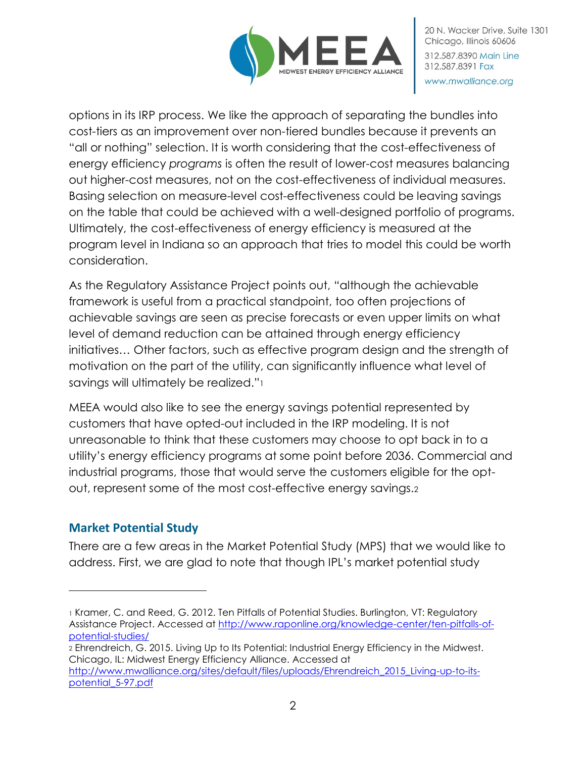

options in its IRP process. We like the approach of separating the bundles into cost-tiers as an improvement over non-tiered bundles because it prevents an "all or nothing" selection. It is worth considering that the cost-effectiveness of energy efficiency *programs* is often the result of lower-cost measures balancing out higher-cost measures, not on the cost-effectiveness of individual measures. Basing selection on measure-level cost-effectiveness could be leaving savings on the table that could be achieved with a well-designed portfolio of programs. Ultimately, the cost-effectiveness of energy efficiency is measured at the program level in Indiana so an approach that tries to model this could be worth consideration.

As the Regulatory Assistance Project points out, "although the achievable framework is useful from a practical standpoint, too often projections of achievable savings are seen as precise forecasts or even upper limits on what level of demand reduction can be attained through energy efficiency initiatives… Other factors, such as effective program design and the strength of motivation on the part of the utility, can significantly influence what level of savings will ultimately be realized."<sup>1</sup>

MEEA would also like to see the energy savings potential represented by customers that have opted-out included in the IRP modeling. It is not unreasonable to think that these customers may choose to opt back in to a utility's energy efficiency programs at some point before 2036. Commercial and industrial programs, those that would serve the customers eligible for the optout, represent some of the most cost-effective energy savings.<sup>2</sup>

# **Market Potential Study**

There are a few areas in the Market Potential Study (MPS) that we would like to address. First, we are glad to note that though IPL's market potential study

<sup>2</sup> Ehrendreich, G. 2015. Living Up to Its Potential: Industrial Energy Efficiency in the Midwest. Chicago, IL: Midwest Energy Efficiency Alliance. Accessed at [http://www.mwalliance.org/sites/default/files/uploads/Ehrendreich\\_2015\\_Living-up-to-its-](http://www.mwalliance.org/sites/default/files/uploads/Ehrendreich_2015_Living-up-to-its-potential_5-97.pdf)

[potential\\_5-97.pdf](http://www.mwalliance.org/sites/default/files/uploads/Ehrendreich_2015_Living-up-to-its-potential_5-97.pdf)

 $\overline{a}$ 

<sup>1</sup> Kramer, C. and Reed, G. 2012. Ten Pitfalls of Potential Studies. Burlington, VT: Regulatory Assistance Project. Accessed at [http://www.raponline.org/knowledge-center/ten-pitfalls-of](http://www.raponline.org/knowledge-center/ten-pitfalls-of-potential-studies/)[potential-studies/](http://www.raponline.org/knowledge-center/ten-pitfalls-of-potential-studies/)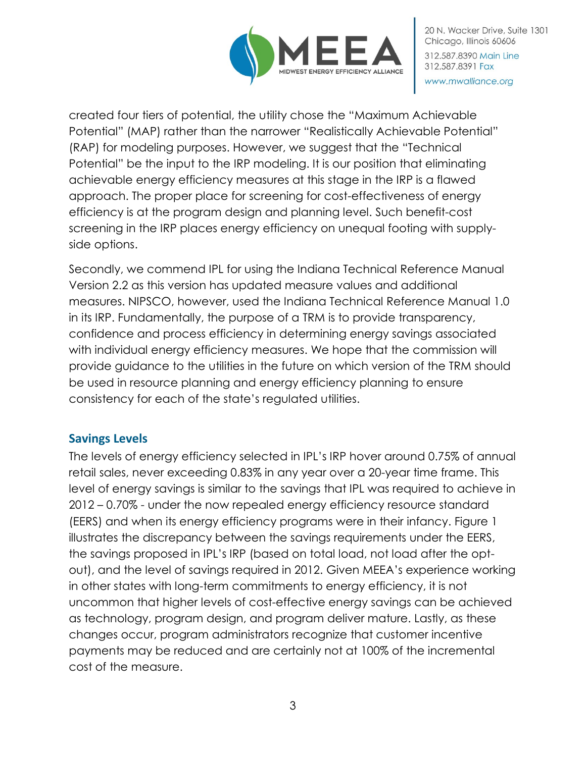

created four tiers of potential, the utility chose the "Maximum Achievable Potential" (MAP) rather than the narrower "Realistically Achievable Potential" (RAP) for modeling purposes. However, we suggest that the "Technical Potential" be the input to the IRP modeling. It is our position that eliminating achievable energy efficiency measures at this stage in the IRP is a flawed approach. The proper place for screening for cost-effectiveness of energy efficiency is at the program design and planning level. Such benefit-cost screening in the IRP places energy efficiency on unequal footing with supplyside options.

Secondly, we commend IPL for using the Indiana Technical Reference Manual Version 2.2 as this version has updated measure values and additional measures. NIPSCO, however, used the Indiana Technical Reference Manual 1.0 in its IRP. Fundamentally, the purpose of a TRM is to provide transparency, confidence and process efficiency in determining energy savings associated with individual energy efficiency measures. We hope that the commission will provide guidance to the utilities in the future on which version of the TRM should be used in resource planning and energy efficiency planning to ensure consistency for each of the state's regulated utilities.

## **Savings Levels**

The levels of energy efficiency selected in IPL's IRP hover around 0.75% of annual retail sales, never exceeding 0.83% in any year over a 20-year time frame. This level of energy savings is similar to the savings that IPL was required to achieve in 2012 – 0.70% - under the now repealed energy efficiency resource standard (EERS) and when its energy efficiency programs were in their infancy. Figure 1 illustrates the discrepancy between the savings requirements under the EERS, the savings proposed in IPL's IRP (based on total load, not load after the optout), and the level of savings required in 2012. Given MEEA's experience working in other states with long-term commitments to energy efficiency, it is not uncommon that higher levels of cost-effective energy savings can be achieved as technology, program design, and program deliver mature. Lastly, as these changes occur, program administrators recognize that customer incentive payments may be reduced and are certainly not at 100% of the incremental cost of the measure.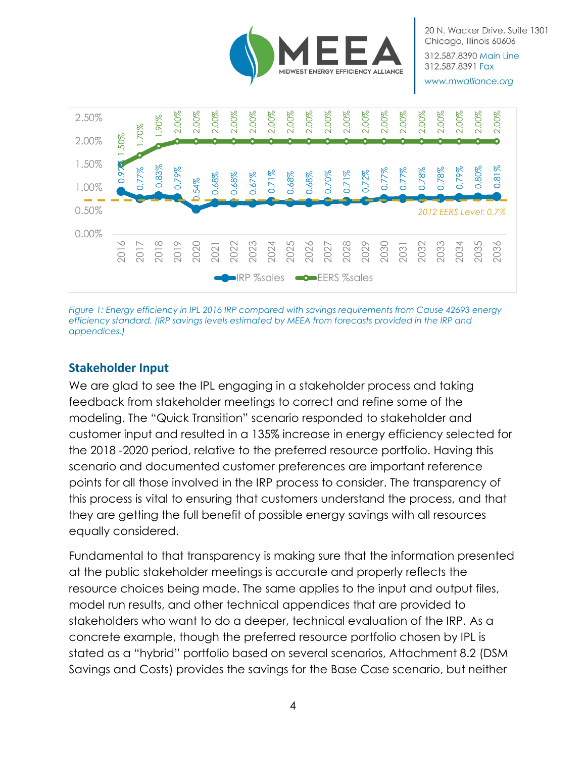

www.mwalliance.org



*Figure 1: Energy efficiency in IPL 2016 IRP compared with savings requirements from Cause 42693 energy efficiency standard. (IRP savings levels estimated by MEEA from forecasts provided in the IRP and appendices.)*

#### **Stakeholder Input**

We are glad to see the IPL engaging in a stakeholder process and taking feedback from stakeholder meetings to correct and refine some of the modeling. The "Quick Transition" scenario responded to stakeholder and customer input and resulted in a 135% increase in energy efficiency selected for the 2018 -2020 period, relative to the preferred resource portfolio. Having this scenario and documented customer preferences are important reference points for all those involved in the IRP process to consider. The transparency of this process is vital to ensuring that customers understand the process, and that they are getting the full benefit of possible energy savings with all resources equally considered.

Fundamental to that transparency is making sure that the information presented at the public stakeholder meetings is accurate and properly reflects the resource choices being made. The same applies to the input and output files, model run results, and other technical appendices that are provided to stakeholders who want to do a deeper, technical evaluation of the IRP. As a concrete example, though the preferred resource portfolio chosen by IPL is stated as a "hybrid" portfolio based on several scenarios, Attachment 8.2 (DSM